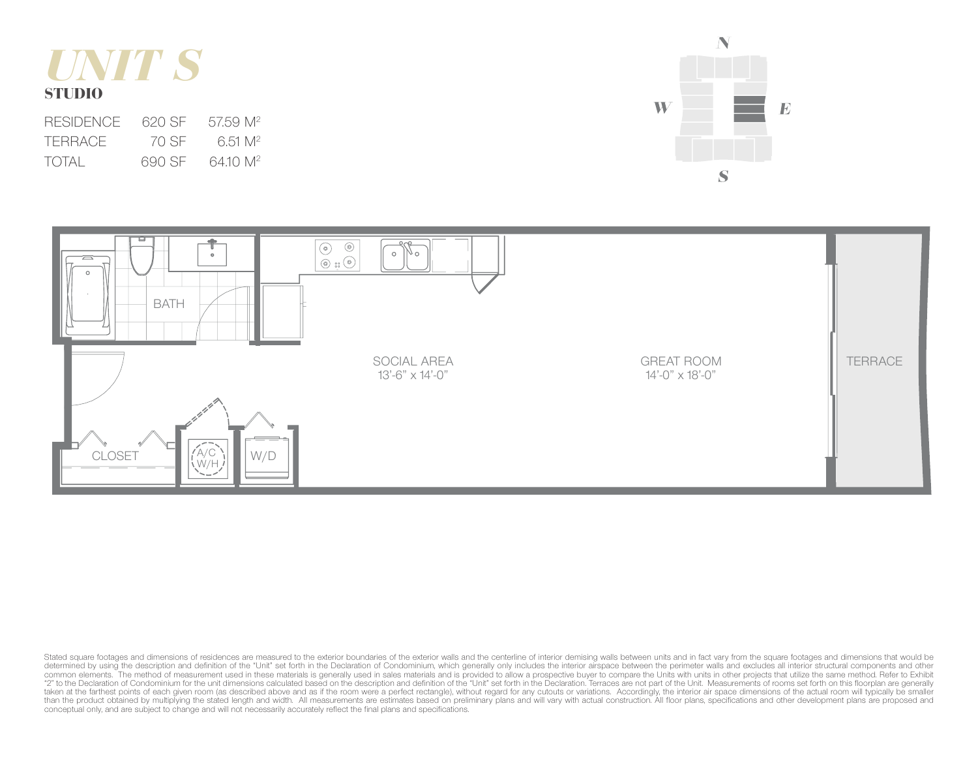

| <b>RESIDENCE</b> | 620.SE | 57.59 M <sup>2</sup> |
|------------------|--------|----------------------|
| <b>TERRACE</b>   | 70 SE  | 6.51 M <sup>2</sup>  |
| TOTAL            | 690 SE | 64.10 M <sup>2</sup> |





Stated square footages and dimensions of residences are measured to the exterior boundaries of the exterior walls and the centerline of interior demising walls between units and in fact vary from the square footages and di common elements. The method of measurement used in these materials is generally used in sales materials and is provided to allow a prospective buyer to compare the Units with units in other projects that utilize the same m taken at the farthest points of each given room (as described above and as if the room were a perfect rectangle), without regard for any cutouts or variations. Accordingly, the interior air space dimensions of the actual r than the product obtained by multiplying the stated length and width. All measurements are estimates based on preliminary plans and will vary with actual construction. All floor plans, specifications and other development conceptual only, and are subject to change and will not necessarily accurately reflect the final plans and specifications.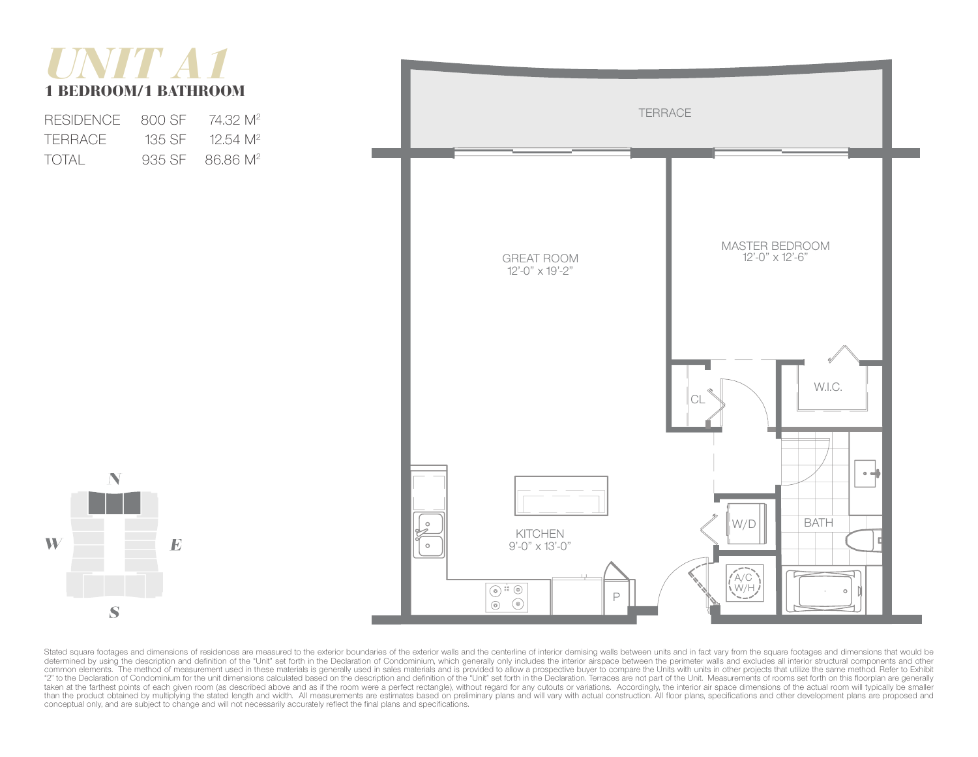# *UNIT A1*  1 BEDROOM/1 BATHROOM

| <b>RESIDENCE</b> | 800 SE | 74.32 M <sup>2</sup>        |
|------------------|--------|-----------------------------|
| TERRACE          | 135 SE | $12.54$ M <sup>2</sup>      |
| TOTAL            |        | 935 SF 86.86 M <sup>2</sup> |





Stated square footages and dimensions of residences are measured to the exterior boundaries of the exterior walls and the centerline of interior demising walls between units and in fact vary from the square footages and di determined by using the description and definition of the "Unit" set forth in the Declaration of Condominium, which generally only includes the interior airspace between the perimeter walls and excludes all interior struct "2" to the Declaration of Condominium for the unit dimensions calculated based on the description and definition of the "Unit" set forth in the Declaration. Terraces are not part of the Unit. Measurements of rooms set fort taken at the farthest points of each given room (as described above and as if the room were a perfect rectangle), without regard for any cutouts or variations. Accordingly, the interior air space dimensions of the actual r conceptual only, and are subject to change and will not necessarily accurately reflect the final plans and specifications.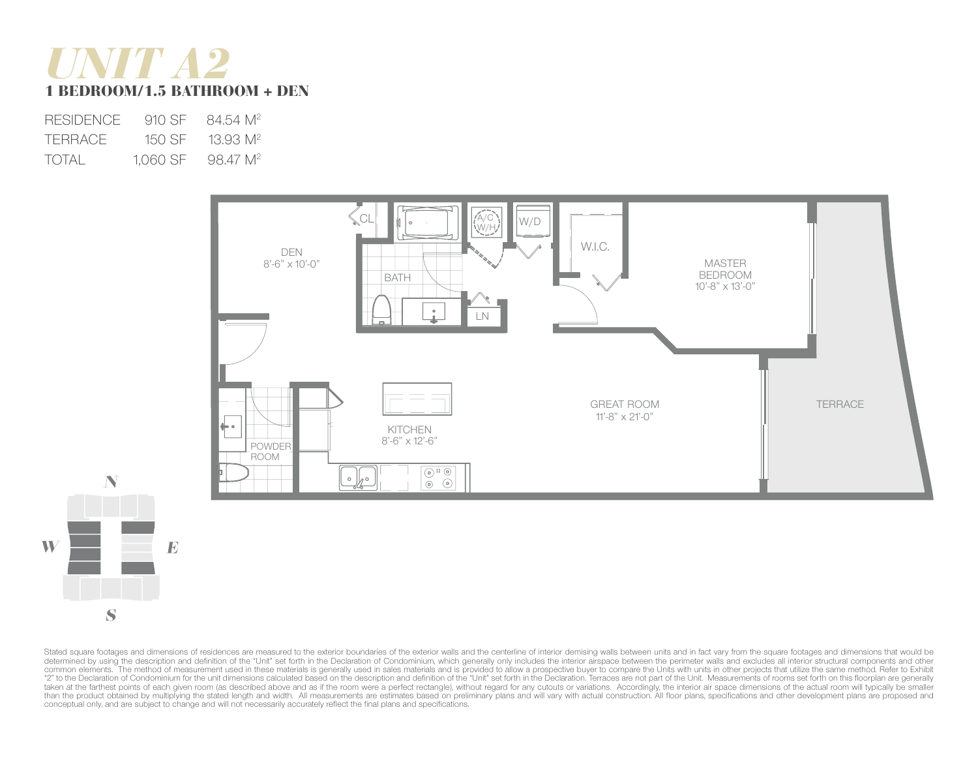## *UNIT A2* 1 BEDROOM/1.5 BATHROOM + DEN

| <b>RESIDENCE</b> | 910 SF   | 84.54 M <sup>2</sup> |
|------------------|----------|----------------------|
| TERRACE          | 150 SE   | $13.93 \text{ M}^2$  |
| TOTAL            | 1,060 SF | 98.47 M <sup>2</sup> |





Stated square footages and dimensions of residences are measured to the exterior boundaries of the exterior walls and the centerline of interior demising walls between units and in fact vary from the square footages and di determined by using the description and definition of the "Unit" set forth in the Declaration of Condominium, which generally only includes the interior airspace between the perimeter walls and excludes all interior struct common elements. The method of measurement used in these materials is generally used in sales materials and is provided to allow a prospective buyer to compare the Units with units in other projects that utilize the same m "2" to the Declaration of Condominium for the unit dimensions calculated based on the description and definition of the "Unit" set forth in the Declaration. Terraces are not part of the Unit. Measurements of rooms set fort taken at the farthest points of each given room (as described above and as if the room were a perfect rectangle), without regard for any cutouts or variations. Accordingly, the interior air space dimensions of the actual r conceptual only, and are subject to change and will not necessarily accurately reflect the final plans and specifications.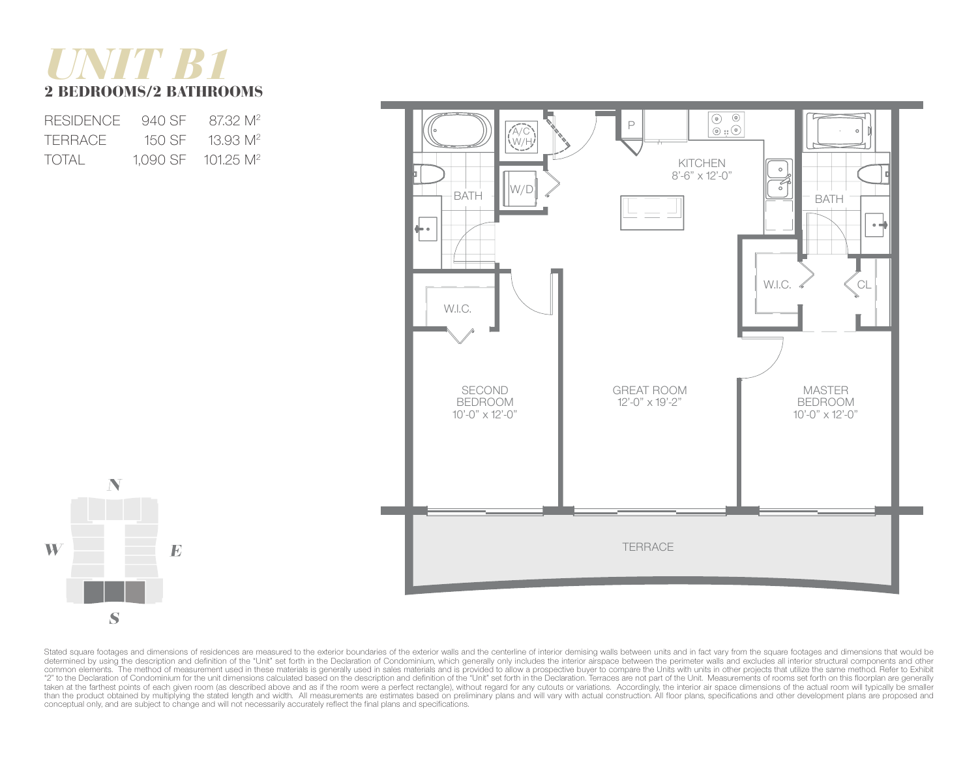## *UNIT B1*  2 BEDROOMS/2 BATHROOMS

| <b>RESIDENCE</b> | 940 SE   | 8732 M <sup>2</sup>     |
|------------------|----------|-------------------------|
| <b>TERRACE</b>   | 150 SE   | 13.93 M <sup>2</sup>    |
| TOTAL            | 1.090 SF | $101.25$ M <sup>2</sup> |





Stated square footages and dimensions of residences are measured to the exterior boundaries of the exterior walls and the centerline of interior demising walls between units and in fact vary from the square footages and di determined by using the description and definition of the "Unit" set forth in the Declaration of Condominium, which generally only includes the interior airspace between the perimeter walls and excludes all interior struct common elements. The method of measurement used in these materials is generally used in sales materials and is provided to allow a prospective buyer to compare the Units with units in other projects that utilize the same m "2" to the Declaration of Condominium for the unit dimensions calculated based on the description and definition of the "Unit" set forth in the Declaration. Terraces are not part of the Unit. Measurements of rooms set fort taken at the farthest points of each given room (as described above and as if the room were a perfect rectangle), without regard for any cutouts or variations. Accordingly, the interior air space dimensions of the actual r conceptual only, and are subject to change and will not necessarily accurately reflect the final plans and specifications.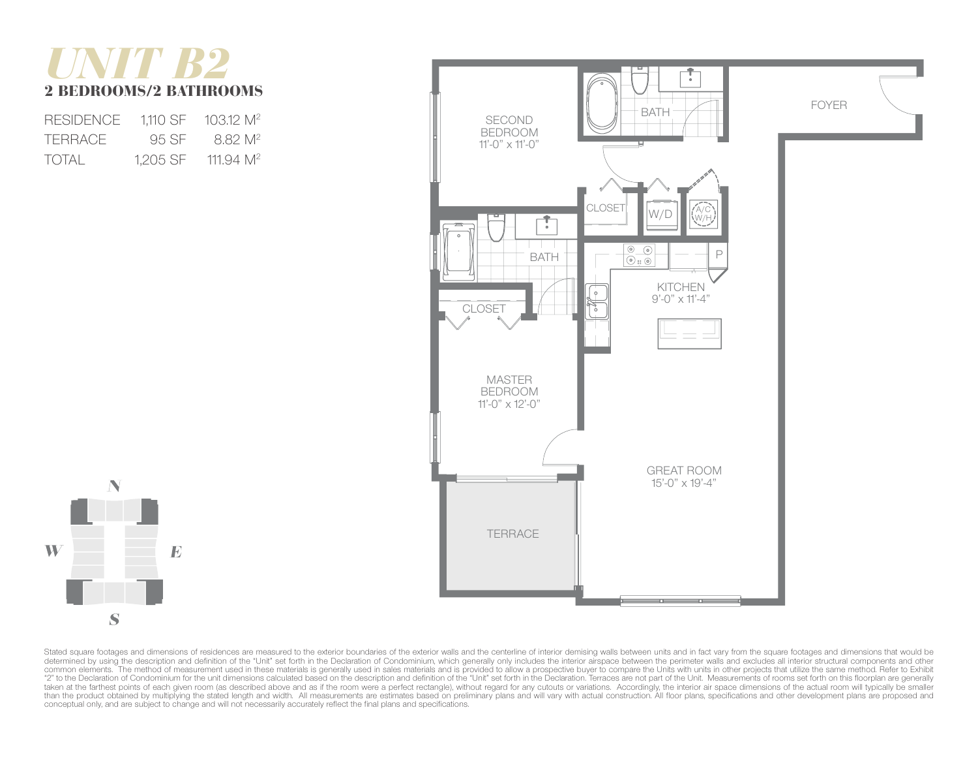## *UNIT B2*  2 BEDROOMS/2 BATHROOMS

| <b>RESIDENCE</b> | 1.110 SF | $103.12 \text{ M}^2$ |
|------------------|----------|----------------------|
| TERRACE.         | 95 SF    | 8.82 M <sup>2</sup>  |
| TOTAL            | 1.205 SF | 111.94 $M^2$         |





Stated square footages and dimensions of residences are measured to the exterior boundaries of the exterior walls and the centerline of interior demising walls between units and in fact vary from the square footages and di determined by using the description and definition of the "Unit" set forth in the Declaration of Condominium, which generally only includes the interior airspace between the perimeter walls and excludes all interior struct "2" to the Declaration of Condominium for the unit dimensions calculated based on the description and definition of the "Unit" set forth in the Declaration. Terraces are not part of the Unit. Measurements of rooms set fort taken at the farthest points of each given room (as described above and as if the room were a perfect rectangle), without regard for any cutouts or variations. Accordingly, the interior air space dimensions of the actual r conceptual only, and are subject to change and will not necessarily accurately reflect the final plans and specifications.